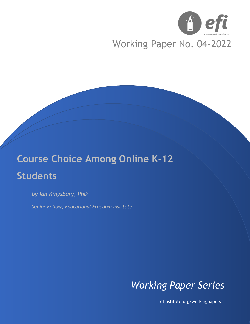

# Working Paper No. 04-2022

# **Course Choice Among Online K-12 Students**

*by Ian Kingsbury, PhD*

*Senior Fellow, Educational Freedom Institute*



efinstitute.org/workingpapers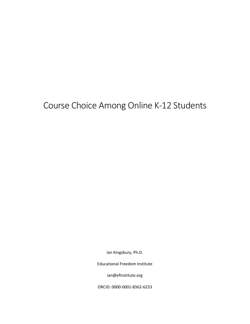# Course Choice Among Online K-12 Students

Ian Kingsbury, Ph.D.

Educational Freedom Institute

ian@efinstitute.org

ORCID: 0000-0001-8362-6233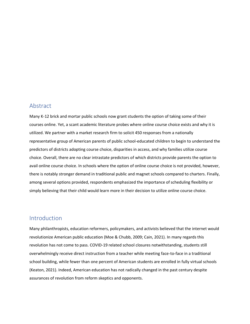#### Abstract

Many K-12 brick and mortar public schools now grant students the option of taking some of their courses online. Yet, a scant academic literature probes where online course choice exists and why it is utilized. We partner with a market research firm to solicit 450 responses from a nationally representative group of American parents of public school-educated children to begin to understand the predictors of districts adopting course choice, disparities in access, and why families utilize course choice. Overall, there are no clear intrastate predictors of which districts provide parents the option to avail online course choice. In schools where the option of online course choice is not provided, however, there is notably stronger demand in traditional public and magnet schools compared to charters. Finally, among several options provided, respondents emphasized the importance of scheduling flexibility or simply believing that their child would learn more in their decision to utilize online course choice.

#### Introduction

Many philanthropists, education reformers, policymakers, and activists believed that the internet would revolutionize American public education (Moe & Chubb, 2009; Cain, 2021). In many regards this revolution has not come to pass. COVID-19 related school closures notwithstanding, students still overwhelmingly receive direct instruction from a teacher while meeting face-to-face in a traditional school building, while fewer than one percent of American students are enrolled in fully virtual schools (Keaton, 2021). Indeed, American education has not radically changed in the past century despite assurances of revolution from reform skeptics and opponents.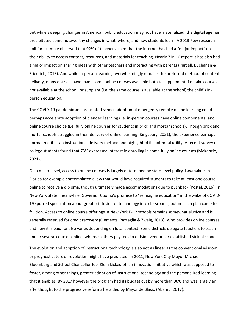But while sweeping changes in American public education may not have materialized, the digital age has precipitated some noteworthy changes in what, where, and how students learn. A 2013 Pew research poll for example observed that 92% of teachers claim that the internet has had a "major impact" on their ability to access content, resources, and materials for teaching. Nearly 7 in 10 report it has also had a major impact on sharing ideas with other teachers and interacting with parents (Purcell, Buchanan & Friedrich, 2013). And while in-person learning overwhelmingly remains the preferred method of content delivery, many districts have made some online courses available both to supplement (i.e. take courses not available at the school) or supplant (i.e. the same course is available at the school) the child's inperson education.

The COVID-19 pandemic and associated school adoption of emergency remote online learning could perhaps accelerate adoption of blended learning (i.e. in-person courses have online components) and online course choice (i.e. fully online courses for students in brick and mortar schools). Though brick and mortar schools struggled in their delivery of online learning (Kingsbury, 2021), the experience perhaps normalized it as an instructional delivery method and highlighted its potential utility. A recent survey of college students found that 73% expressed interest in enrolling in some fully online courses (McKenzie, 2021).

On a macro level, access to online courses is largely determined by state-level policy. Lawmakers in Florida for example contemplated a law that would have required students to take at least one course online to receive a diploma, though ultimately made accommodations due to pushback (Postal, 2016). In New York State, meanwhile, Governor Cuomo's promise to "reimagine education" in the wake of COVID-19 spurred speculation about greater infusion of technology into classrooms, but no such plan came to fruition. Access to online course offerings in New York K-12 schools remains somewhat elusive and is generally reserved for credit recovery (Clements, Pazzaglia & Zweig, 2013). Who provides online courses and how it is paid for also varies depending on local context. Some districts delegate teachers to teach one or several courses online, whereas others pay fees to outside vendors or established virtual schools.

The evolution and adoption of instructional technology is also not as linear as the conventional wisdom or prognosticators of revolution might have predicted. In 2011, New York City Mayor Michael Bloomberg and School Chancellor Joel Klein kicked off an innovation initiative which was supposed to foster, among other things, greater adoption of instructional technology and the personalized learning that it enables. By 2017 however the program had its budget cut by more than 90% and was largely an afterthought to the progressive reforms heralded by Mayor de Blasio (Abamu, 2017).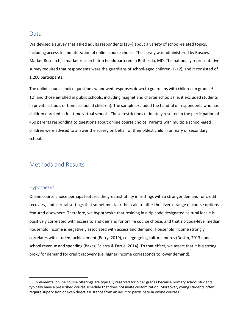#### **Data**

We devised a survey that asked adults respondents (18+) about a variety of school-related topics, including access to and utilization of online course choice. The survey was administered by Roscow Market Research, a market research firm headquartered in Bethesda, MD. The nationally representative survey required that respondents were the guardians of school-aged children (K-12), and it consisted of 1,200 participants.

The online course choice questions winnowed responses down to guardians with children in grades 6-  $12<sup>1</sup>$  and those enrolled in public schools, including magnet and charter schools (i.e. it excluded students in private schools or homeschooled children). The sample excluded the handful of respondents who has children enrolled in full-time virtual schools. These restrictions ultimately resulted in the participation of 450 parents responding to questions about online course choice. Parents with multiple school-aged children were advised to answer the survey on behalf of their oldest child in primary or secondary school.

## Methods and Results

#### Hypotheses

Online course choice perhaps features the greatest utility in settings with a stronger demand for credit recovery, and in rural settings that sometimes lack the scale to offer the diverse range of course options featured elsewhere. Therefore, we hypothesize that residing in a zip code designated as rural locale is positively correlated with access to and demand for online course choice, and that zip code-level median household income is negatively associated with access and demand. Household income strongly correlates with student achievement (Perry, 2019), college-going cultural mores (Destin, 2013), and school revenue and spending (Baker, Sciarra & Farrie, 2014). To that effect, we assert that it is a strong proxy for demand for credit recovery (i.e. higher income corresponds to lower demand).

 $1$  Supplemental online course offerings are typically reserved for older grades because primary school students typically have a prescribed course schedule that does not invite customization. Moreover, young students often require supervision or even direct assistance from an adult to participate in online courses.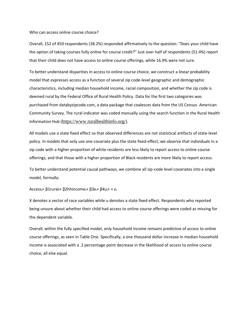Who can access online course choice?

Overall, 152 of 450 respondents (38.2%) responded affirmatively to the question: "Does your child have the option of taking courses fully online for course credit?" Just over half of respondents (51.4%) report that their child does not have access to online course offerings, while 16.9% were not sure.

To better understand disparities in access to online course choice, we construct a linear probability model that expresses access as a function of several zip code-level geographic and demographic characteristics, including median household income, racial composition, and whether the zip code is deemed rural by the Federal Office of Rural Health Policy. Data for the first two categories was purchased from databyzipcode.com, a data package that coalesces data from the US Census American Community Survey. The rural indicator was coded manually using the search function in the Rural Health Information Hub (<https://www.ruralhealthinfo.org/>).

All models use a state fixed effect so that observed differences are not statistical artifacts of state-level policy. In models that only use one covariate plus the state fixed effect, we observe that individuals in a zip code with a higher proportion of white residents are less likely to report access to online course offerings, and that those with a higher proportion of Black residents are more likely to report access.

To better understand potential causal pathways, we combine all zip-code level covariates into a single model, formally:

Access<sub>i</sub>= β1rural<sub>i</sub>+ β2hhincome<sub>i</sub>+ β3x<sub>i</sub>+ β4u<sub>i</sub>+ + ε<sub>i</sub>

X denotes a vector of race variables while u denotes a state fixed effect. Respondents who reported being unsure about whether their child had access to online course offerings were coded as missing for the dependent variable.

Overall, within the fully specified model, only household income remains predictive of access to online course offerings, as seen in Table One. Specifically, a one thousand dollar increase in median household income is associated with a .2 percentage point decrease in the likelihood of access to online course choice, all else equal.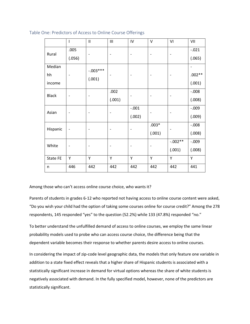|              | <sup>1</sup>             | $\mathsf{II}$ | Ш      | IV             | $\vee$                   | VI                                                | VII                          |
|--------------|--------------------------|---------------|--------|----------------|--------------------------|---------------------------------------------------|------------------------------|
| Rural        | .005                     |               |        | -              | $\overline{\phantom{a}}$ | $\overline{\phantom{0}}$                          | $-.021$                      |
|              | (.056)                   |               |        |                |                          |                                                   | (.065)                       |
| Median       |                          | $-.003***$    |        |                |                          |                                                   | $\qquad \qquad \blacksquare$ |
| hh           |                          | (.001)        |        |                |                          |                                                   | $.002**$                     |
| income       |                          |               |        |                |                          |                                                   | (.001)                       |
| <b>Black</b> |                          |               | .002   | -              |                          |                                                   | $-.008$                      |
|              |                          |               | (.001) |                |                          |                                                   | (.008)                       |
| Asian        |                          |               |        | $-.001$        |                          |                                                   | $-.009$                      |
|              |                          |               |        | (.002)         |                          |                                                   | (.009)                       |
| Hispanic     | $\overline{\phantom{a}}$ |               |        | $\overline{a}$ | $.003*$                  |                                                   | $-.008$                      |
|              |                          |               |        |                | (.001)                   | $\overline{a}$<br>$-.002**$<br>(.001)<br>Y<br>442 | (.008)                       |
| White        |                          |               |        | -              |                          |                                                   | $-.009$                      |
|              |                          |               |        |                |                          |                                                   | (.008)                       |
| State FE     | Y                        | Y             | Y      | Y              | Y                        |                                                   | Y                            |
| n            | 446                      | 442           | 442    | 442            | 442                      |                                                   | 441                          |

Table One: Predictors of Access to Online Course Offerings

Among those who can't access online course choice, who wants it?

Parents of students in grades 6-12 who reported not having access to online course content were asked, "Do you wish your child had the option of taking some courses online for course credit?" Among the 278 respondents, 145 responded "yes" to the question (52.2%) while 133 (47.8%) responded "no."

To better understand the unfulfilled demand of access to online courses, we employ the same linear probability models used to probe who can access course choice, the difference being that the dependent variable becomes their response to whether parents desire access to online courses.

In considering the impact of zip-code level geographic data, the models that only feature one variable in addition to a state fixed effect reveals that a higher share of Hispanic students is associated with a statistically significant increase in demand for virtual options whereas the share of white students is negatively associated with demand. In the fully specified model, however, none of the predictors are statistically significant.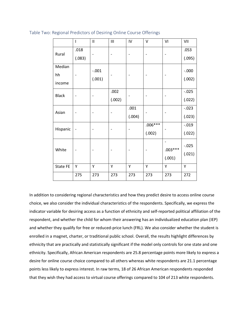|              | ı      | $\mathbf{I}$ | Ш      | IV     | V         | VI                       | VII     |
|--------------|--------|--------------|--------|--------|-----------|--------------------------|---------|
| Rural        | .018   |              |        |        |           |                          | .053    |
|              | (.083) |              |        |        |           |                          | (.095)  |
| Median       |        | $-.001$      |        |        |           |                          | $-.000$ |
| hh           |        | (.001)       |        |        |           |                          | (.002)  |
| income       |        |              |        |        |           |                          |         |
| <b>Black</b> |        |              | .002   |        |           |                          | $-.025$ |
|              |        |              | (.002) |        |           |                          | (.022)  |
| Asian        |        |              |        | .001   |           |                          | $-.023$ |
|              |        |              |        | (.004) |           |                          | (.023)  |
| Hispanic     | -      |              |        |        | $.006***$ |                          | $-.019$ |
|              |        |              |        |        | (.002)    |                          | (.022)  |
|              |        |              |        |        |           | $\overline{\phantom{0}}$ | $-.025$ |
| White        |        |              |        |        |           | $.003***$                | (.021)  |
|              |        |              |        |        |           | (.001)                   |         |
| State FE     | Υ      | Y            | Υ      | Υ      | Υ         | Υ                        | Υ       |
|              | 275    | 273          | 273    | 273    | 273       | 273                      | 272     |

Table Two: Regional Predictors of Desiring Online Course Offerings

In addition to considering regional characteristics and how they predict desire to access online course choice, we also consider the individual characteristics of the respondents. Specifically, we express the indicator variable for desiring access as a function of ethnicity and self-reported political affiliation of the respondent, and whether the child for whom their answering has an individualized education plan (IEP) and whether they qualify for free or reduced-price lunch (FRL). We also consider whether the student is enrolled in a magnet, charter, or traditional public school. Overall, the results highlight differences by ethnicity that are practically and statistically significant if the model only controls for one state and one ethnicity. Specifically, African American respondents are 25.8 percentage points more likely to express a desire for online course choice compared to all others whereas white respondents are 21.1 percentage points less likely to express interest. In raw terms, 18 of 26 African American respondents responded that they wish they had access to virtual course offerings compared to 104 of 213 white respondents.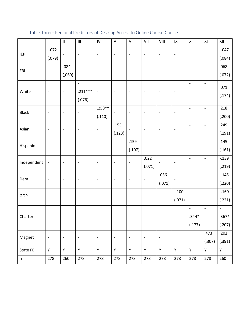|              | $\overline{\phantom{a}}$     | $\ensuremath{\mathsf{II}}$ | $\mathbf{III}$           | $\mathsf{IV}$            | $\sf V$                      | VI                       | VII                          | VIII                         | $\sf IX$                                                                          | $\pmb{\mathsf{X}}$           | XI                           | XII               |
|--------------|------------------------------|----------------------------|--------------------------|--------------------------|------------------------------|--------------------------|------------------------------|------------------------------|-----------------------------------------------------------------------------------|------------------------------|------------------------------|-------------------|
| <b>IEP</b>   | $-.072$                      | $\overline{\phantom{a}}$   | $\overline{a}$           | $\overline{\phantom{a}}$ | $\overline{\phantom{a}}$     | $\overline{\phantom{a}}$ | $\qquad \qquad -$            | $\qquad \qquad -$            | $\overline{\phantom{a}}$                                                          | $\blacksquare$               | $\overline{a}$               | $-.047$           |
|              | (.079)                       |                            |                          |                          |                              |                          |                              |                              |                                                                                   |                              |                              | (.084)            |
| <b>FRL</b>   | $\qquad \qquad \blacksquare$ | .084                       |                          | $\overline{\phantom{a}}$ | $\qquad \qquad -$            | $\overline{\phantom{a}}$ | $\overline{a}$               | $\qquad \qquad \blacksquare$ | $\overline{\phantom{a}}$                                                          | $\overline{\phantom{a}}$     | $\overline{\phantom{a}}$     | .068              |
|              |                              | (.069)                     |                          |                          |                              |                          |                              |                              |                                                                                   |                              |                              | (.072)            |
|              |                              |                            | $\overline{\phantom{a}}$ |                          |                              |                          |                              |                              |                                                                                   | $\qquad \qquad \blacksquare$ | $\overline{\phantom{a}}$     | .071              |
| White        | $\qquad \qquad -$            | $\overline{\phantom{a}}$   | $.211***$                | $\overline{\phantom{a}}$ | $\overline{\phantom{a}}$     | $\overline{\phantom{m}}$ | $\qquad \qquad \blacksquare$ | $\qquad \qquad -$            | $\overline{\phantom{m}}$                                                          |                              |                              | (.174)            |
|              |                              |                            | (.076)                   |                          |                              |                          |                              |                              |                                                                                   |                              |                              |                   |
| <b>Black</b> | $\overline{\phantom{a}}$     | $\overline{\phantom{a}}$   | ÷,                       | $.258**$                 | $\overline{a}$               | $\overline{\phantom{a}}$ | $\qquad \qquad \blacksquare$ | $\qquad \qquad \blacksquare$ | $\overline{\phantom{a}}$                                                          | $\blacksquare$               | $\blacksquare$               | .218              |
|              |                              |                            |                          | (.110)                   |                              |                          |                              |                              |                                                                                   |                              |                              | (.200)            |
| Asian        | $\overline{\phantom{a}}$     | $\overline{\phantom{a}}$   |                          | $\overline{\phantom{a}}$ | .155                         |                          |                              | $\qquad \qquad \blacksquare$ | $\overline{\phantom{a}}$                                                          | $\overline{\phantom{a}}$     | $\qquad \qquad \blacksquare$ | .249              |
|              |                              |                            |                          |                          | (.123)                       |                          |                              |                              |                                                                                   |                              |                              | (.191)            |
|              | $\qquad \qquad \blacksquare$ | $\overline{\phantom{a}}$   |                          | $\overline{\phantom{a}}$ | $\overline{a}$               | .159                     |                              | $\qquad \qquad \blacksquare$ | $\overline{\phantom{m}}$                                                          | $\qquad \qquad \blacksquare$ | $\qquad \qquad -$            | .145              |
| Hispanic     |                              |                            |                          |                          |                              | (.107)                   |                              |                              |                                                                                   |                              |                              | (.161)            |
| Independent  | $\overline{\phantom{a}}$     | $\overline{\phantom{a}}$   | $\overline{a}$           | $\overline{\phantom{a}}$ | $\overline{\phantom{a}}$     | $\qquad \qquad -$        | .022                         | $\qquad \qquad -$            |                                                                                   | $\overline{\phantom{a}}$     | $\overline{a}$               | $-.139$           |
|              |                              |                            |                          |                          |                              |                          | (.071)                       |                              |                                                                                   |                              |                              | (.219)            |
| Dem          | $\qquad \qquad \blacksquare$ | $\overline{\phantom{a}}$   | $\overline{a}$           | $\overline{\phantom{a}}$ | $\overline{\phantom{a}}$     | $\overline{\phantom{a}}$ | $\qquad \qquad \blacksquare$ | .036                         |                                                                                   | $\Box$                       | $\overline{\phantom{a}}$     | $-.145$           |
|              |                              |                            |                          |                          |                              |                          |                              | (.071)                       | $\overline{\phantom{a}}$<br>$-.100$<br>$\blacksquare$<br>$\overline{\phantom{a}}$ |                              | (.220)                       |                   |
| GOP          | $\overline{\phantom{a}}$     | $\overline{\phantom{a}}$   | $\overline{\phantom{0}}$ | $\overline{\phantom{a}}$ | $\overline{\phantom{a}}$     | $\overline{\phantom{a}}$ | $\qquad \qquad -$            | $\qquad \qquad -$            |                                                                                   |                              |                              | $-.160$           |
|              |                              |                            |                          |                          |                              |                          |                              |                              | (.071)                                                                            |                              |                              | (.221)            |
|              |                              |                            |                          |                          |                              |                          |                              |                              |                                                                                   | $\overline{\phantom{a}}$     | $\overline{\phantom{a}}$     | $\qquad \qquad -$ |
| Charter      | $\qquad \qquad -$            | $\overline{\phantom{m}}$   | $\overline{a}$           | $\overline{\phantom{a}}$ | $\qquad \qquad -$            | $\overline{\phantom{m}}$ | $\qquad \qquad -$            | $\qquad \qquad -$            | $\overline{\phantom{a}}$                                                          | $.344*$                      |                              | $.367*$           |
|              |                              |                            |                          |                          |                              |                          |                              |                              |                                                                                   | (.177)                       |                              | (.207)            |
| Magnet       | $\qquad \qquad \blacksquare$ | $\overline{\phantom{a}}$   | $\overline{a}$           | $\overline{\phantom{a}}$ | $\qquad \qquad \blacksquare$ | $\overline{\phantom{a}}$ | $\overline{\phantom{0}}$     | $\qquad \qquad \blacksquare$ |                                                                                   |                              | .473                         | .202              |
|              |                              |                            |                          |                          |                              |                          |                              |                              |                                                                                   |                              | (.307)                       | (.391)            |
| State FE     | Y                            | Y                          | Υ                        | Y                        | Y.                           | Y                        | Υ                            | Y                            | Y                                                                                 | Y                            | Y                            | Y                 |
| $\sf n$      | 278                          | 260                        | 278                      | 278                      | 278                          | 278                      | 278                          | 278                          | 278                                                                               | 278                          | 278                          | 260               |

## Table Three: Personal Predictors of Desiring Access to Online Course Choice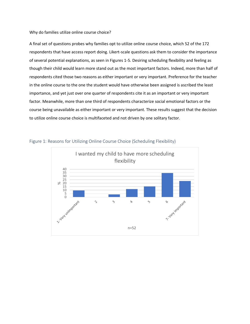Why do families utilize online course choice?

A final set of questions probes why families opt to utilize online course choice, which 52 of the 172 respondents that have access report doing. Likert-scale questions ask them to consider the importance of several potential explanations, as seen in Figures 1-5. Desiring scheduling flexibility and feeling as though their child would learn more stand out as the most important factors. Indeed, more than half of respondents cited those two reasons as either important or very important. Preference for the teacher in the online course to the one the student would have otherwise been assigned is ascribed the least importance, and yet just over one quarter of respondents cite it as an important or very important factor. Meanwhile, more than one third of respondents characterize social emotional factors or the course being unavailable as either important or very important. These results suggest that the decision to utilize online course choice is multifaceted and not driven by one solitary factor.



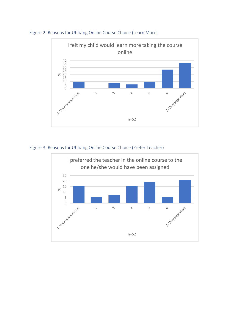

Figure 2: Reasons for Utilizing Online Course Choice (Learn More)

Figure 3: Reasons for Utilizing Online Course Choice (Prefer Teacher)

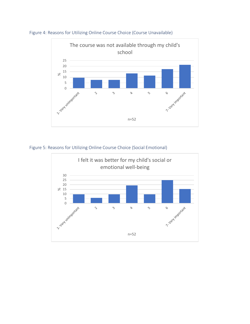

Figure 4: Reasons for Utilizing Online Course Choice (Course Unavailable)

Figure 5: Reasons for Utilizing Online Course Choice (Social Emotional)

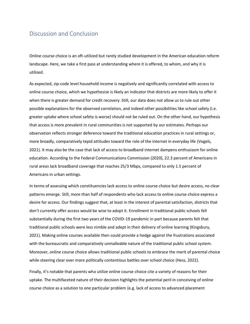### Discussion and Conclusion

Online course choice is an oft-utilized but rarely studied development in the American education reform landscape. Here, we take a first pass at understanding where it is offered, to whom, and why it is utilized.

As expected, zip-code level household income is negatively and significantly correlated with access to online course choice, which we hypothesize is likely an indicator that districts are more likely to offer it when there is greater demand for credit recovery. Still, our data does not allow us to rule out other possible explanations for the observed correlation, and indeed other possibilities like school safety (i.e. greater uptake where school safety is worse) should not be ruled out. On the other hand, our hypothesis that access is more prevalent in rural communities is not supported by our estimates. Perhaps our observation reflects stronger deference toward the traditional education practices in rural settings or, more broadly, comparatively tepid attitudes toward the role of the internet in everyday life (Vogels, 2021). It may also be the case that lack of access to broadband internet dampens enthusiasm for online education. According to the Federal Communications Commission (2020), 22.3 percent of Americans in rural areas lack broadband coverage that reaches 25/3 Mbps, compared to only 1.5 percent of Americans in urban settings.

In terms of assessing which constituencies lack access to online course choice but desire access, no clear patterns emerge. Still, more than half of respondents who lack access to online course choice express a desire for access. Our findings suggest that, at least in the interest of parental satisfaction, districts that don't currently offer access would be wise to adopt it. Enrollment in traditional public schools fell substantially during the first two years of the COVID-19 pandemic in part because parents felt that traditional public schools were less nimble and adept in their delivery of online learning (Kingsbury, 2021). Making online courses available then could provide a hedge against the frustrations associated with the bureaucratic and comparatively unmalleable nature of the traditional public school system. Moreover, online course choice allows traditional public schools to embrace the merit of parental choice while steering clear over more politically contentious battles over school choice (Hess, 2022).

Finally, it's notable that parents who utilize online course choice cite a variety of reasons for their uptake. The multifaceted nature of their decision highlights the potential peril in conceiving of online course choice as a solution to one particular problem (e.g. lack of access to advanced placement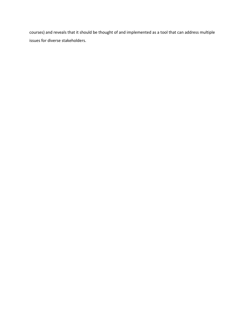courses) and reveals that it should be thought of and implemented as a tool that can address multiple issues for diverse stakeholders.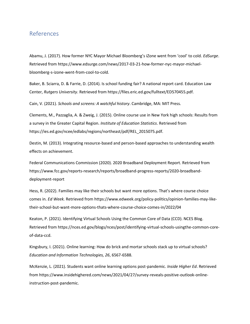#### References

Abamu, J. (2017). How former NYC Mayor Michael Bloomberg's iZone went from 'cool' to cold. *EdSurge*. Retrieved from https://www.edsurge.com/news/2017-03-21-how-former-nyc-mayor-michaelbloomberg-s-izone-went-from-cool-to-cold.

Baker, B. Sciarra, D. & Farrie, D. (2014). Is school funding fair? A national report card. Education Law Center, *Rutgers University*. Retrieved from https://files.eric.ed.gov/fulltext/ED570455.pdf.

Cain, V. (2021). *Schools and screens: A watchful history*. Cambridge, MA: MIT Press.

Clements, M., Pazzaglia, A. & Zweig, J. (2015). Online course use in New York high schools: Results from a survey in the Greater Capital Region. *Institute of Education Statistics*. Retrieved from https://ies.ed.gov/ncee/edlabs/regions/northeast/pdf/REL\_2015075.pdf.

Destin, M. (2013). Integrating resource-based and person-based approaches to understanding wealth effects on achievement.

Federal Communications Commission (2020). 2020 Broadband Deployment Report. Retrieved from https://www.fcc.gov/reports-research/reports/broadband-progress-reports/2020-broadbanddeployment-report

Hess, R. (2022). Families may like their schools but want more options. That's where course choice comes in. *Ed Week.* Retrieved from https://www.edweek.org/policy-politics/opinion-families-may-liketheir-school-but-want-more-options-thats-where-course-choice-comes-in/2022/04

Keaton, P. (2021). Identifying Virtual Schools Using the Common Core of Data (CCD). NCES Blog. Retrieved from https://nces.ed.gov/blogs/nces/post/identifying-virtual-schools-usingthe-common-coreof-data-ccd.

Kingsbury, I. (2021). Online learning: How do brick and mortar schools stack up to virtual schools? *Education and Information Technologies, 26*, 6567-6588.

McKenzie, L. (2021). Students want online learning options post-pandemic. *Inside Higher Ed*. Retrieved from https://www.insidehighered.com/news/2021/04/27/survey-reveals-positive-outlook-onlineinstruction-post-pandemic.